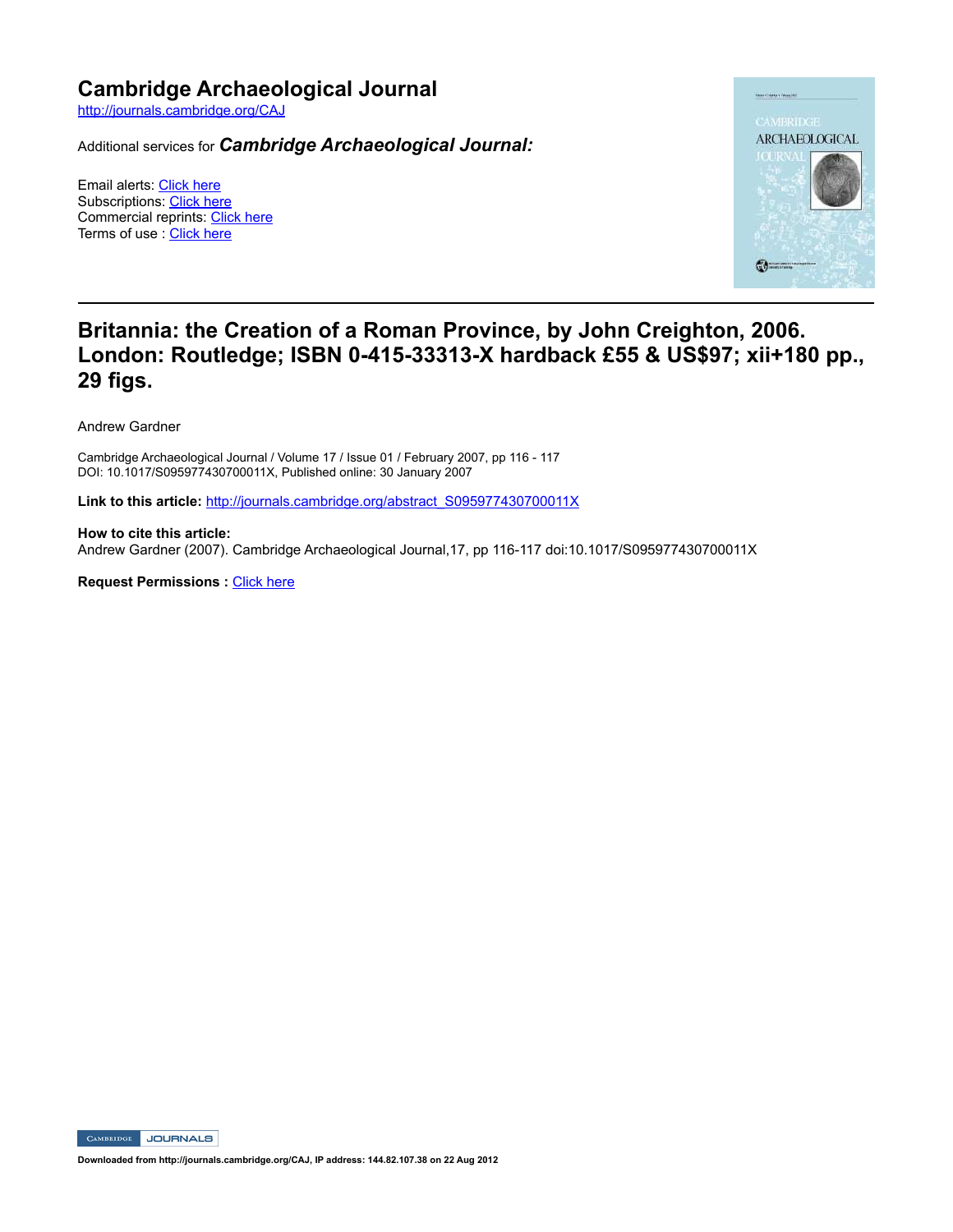## **Cambridge Archaeological Journal**

http://journals.cambridge.org/CAJ

Additional services for *Cambridge Archaeological Journal:*

Email alerts: Click here Subscriptions: Click here Commercial reprints: Click here Terms of use : Click here



## **Britannia: the Creation of a Roman Province, by John Creighton, 2006.**  London: Routledge; ISBN 0-415-33313-X hardback £55 & US\$97; xii+180 pp., **29 figs.**

Andrew Gardner

Cambridge Archaeological Journal / Volume 17 / Issue 01 / February 2007, pp 116 117 DOI: 10.1017/S095977430700011X, Published online: 30 January 2007

**Link to this article:** http://journals.cambridge.org/abstract\_S095977430700011X

**How to cite this article:** Andrew Gardner (2007). Cambridge Archaeological Journal,17, pp 116-117 doi:10.1017/S095977430700011X

**Request Permissions : Click here** 

CAMBRIDGE JOURNALS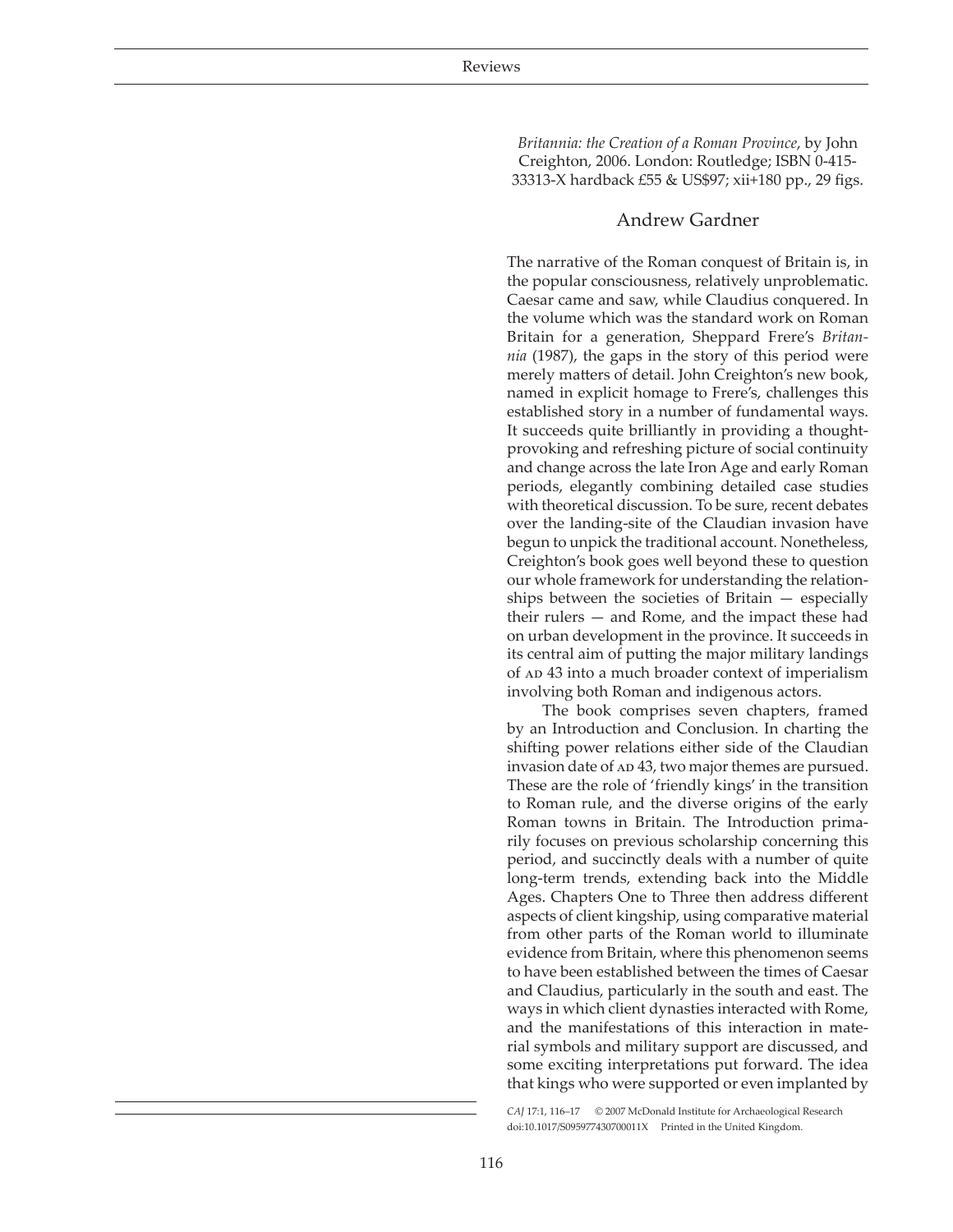*Britannia: the Creation of a Roman Province*, by John Creighton, 2006. London: Routledge; ISBN 0-415- 33313-X hardback £55 & US\$97; xii+180 pp., 29 figs.

## Andrew Gardner

The narrative of the Roman conquest of Britain is, in the popular consciousness, relatively unproblematic. Caesar came and saw, while Claudius conquered. In the volume which was the standard work on Roman Britain for a generation, Sheppard Frere's *Britannia* (1987), the gaps in the story of this period were merely matters of detail. John Creighton's new book, named in explicit homage to Frere's, challenges this established story in a number of fundamental ways. It succeeds quite brilliantly in providing a thoughtprovoking and refreshing picture of social continuity and change across the late Iron Age and early Roman periods, elegantly combining detailed case studies with theoretical discussion. To be sure, recent debates over the landing-site of the Claudian invasion have begun to unpick the traditional account. Nonetheless, Creighton's book goes well beyond these to question our whole framework for understanding the relationships between the societies of Britain — especially their rulers — and Rome, and the impact these had on urban development in the province. It succeeds in its central aim of putting the major military landings of  $AD$  43 into a much broader context of imperialism involving both Roman and indigenous actors.

The book comprises seven chapters, framed by an Introduction and Conclusion. In charting the shifting power relations either side of the Claudian invasion date of  $AD$  43, two major themes are pursued. These are the role of 'friendly kings' in the transition to Roman rule, and the diverse origins of the early Roman towns in Britain. The Introduction primarily focuses on previous scholarship concerning this period, and succinctly deals with a number of quite long-term trends, extending back into the Middle Ages. Chapters One to Three then address different aspects of client kingship, using comparative material from other parts of the Roman world to illuminate evidence from Britain, where this phenomenon seems to have been established between the times of Caesar and Claudius, particularly in the south and east. The ways in which client dynasties interacted with Rome, and the manifestations of this interaction in material symbols and military support are discussed, and some exciting interpretations put forward. The idea that kings who were supported or even implanted by

*CAJ* 17:1, 116–17 © 2007 McDonald Institute for Archaeological Research doi:10.1017/S095977430700011X Printed in the United Kingdom.